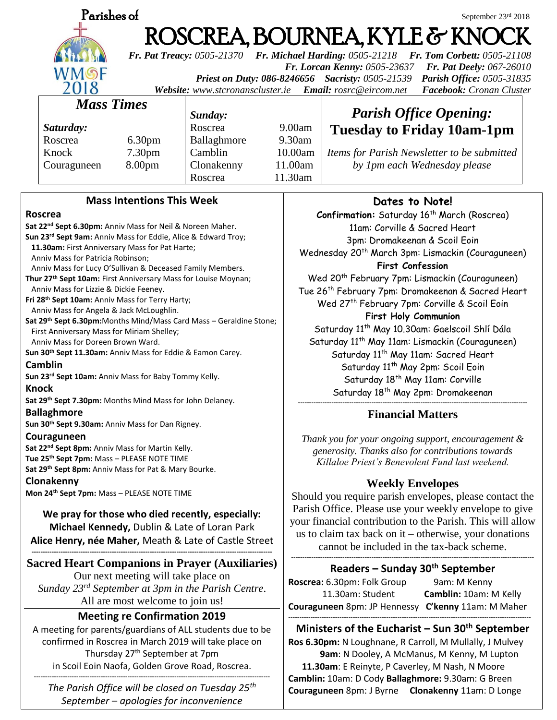

# **Parishes of** September 23rd 2018 ROSCREA, BOURNEA, KYLE & KNO

*Fr. Pat Treacy: 0505-21370 Fr. Michael Harding: 0505-21218 Fr. Tom Corbett: 0505-21108 Fr. Lorcan Kenny: 0505-23637 Fr. Pat Deely: 067-26010 Priest on Duty: 086-8246656 Sacristy: 0505-21539 Parish Office: 0505-31835* 

*Website: [www.stcronanscluster.ie](http://www.stcronanscluster.ie/) Email: [rosrc@eircom.net](mailto:rosrc@eircom.net) Facebook: Cronan Cluster* 

# *Mass Times*

*Saturday:* Roscrea 6.30pm Knock 7.30pm Couraguneen 8.00pm

*Sunday:*

Roscrea 9.00am Ballaghmore 9.30am Camblin 10.00am Clonakenny 11.00am Roscrea 11.30am

*Items for Parish Newsletter to be submitted by 1pm each Wednesday please*

*Parish Office Opening:* **Tuesday to Friday 10am-1pm**

# **Mass Intentions This Week**

### **Roscrea**

**Sat 22nd Sept 6.30pm:** Anniv Mass for Neil & Noreen Maher. **Sun 23rd Sept 9am:** Anniv Mass for Eddie, Alice & Edward Troy;  **11.30am:** First Anniversary Mass for Pat Harte; Anniv Mass for Patricia Robinson; Anniv Mass for Lucy O'Sullivan & Deceased Family Members. **Thur 27th Sept 10am:** First Anniversary Mass for Louise Moynan; Anniv Mass for Lizzie & Dickie Feeney. **Fri 28th Sept 10am:** Anniv Mass for Terry Harty; Anniv Mass for Angela & Jack McLoughlin. **Sat 29th Sept 6.30pm:**Months Mind/Mass Card Mass – Geraldine Stone; First Anniversary Mass for Miriam Shelley; Anniv Mass for Doreen Brown Ward. **Sun 30th Sept 11.30am:** Anniv Mass for Eddie & Eamon Carey. **Camblin Sun 23rd Sept 10am:** Anniv Mass for Baby Tommy Kelly. **Knock Sat 29th Sept 7.30pm:** Months Mind Mass for John Delaney. **Ballaghmore Sun 30th Sept 9.30am:** Anniv Mass for Dan Rigney. **Couraguneen Sat 22nd Sept 8pm:** Anniv Mass for Martin Kelly. **Tue 25th Sept 7pm:** Mass – PLEASE NOTE TIME **Sat 29th Sept 8pm:** Anniv Mass for Pat & Mary Bourke. **Clonakenny Mon 24th Sept 7pm:** Mass – PLEASE NOTE TIME **We pray for those who died recently, especially: Michael Kennedy,** Dublin & Late of Loran Park **Alice Henry, née Maher,** Meath & Late of Castle Street **------------------------------------------------------------------------------------------------------------ Sacred Heart Companions in Prayer (Auxiliaries)** Our next meeting will take place on *Sunday 23rd September at 3pm in the Parish Centre*. All are most welcome to join us!

# **Meeting re Confirmation 2019**

A meeting for parents/guardians of ALL students due to be confirmed in Roscrea in March 2019 will take place on Thursday 27th September at 7pm in Scoil Eoin Naofa, Golden Grove Road, Roscrea.

**----------------------------------------------------------------------------------------------------------** *The Parish Office will be closed on Tuesday 25th September – apologies for inconvenience*

# **Dates to Note!**

**Confirmation:** Saturday 16<sup>th</sup> March (Roscrea) 11am: Corville & Sacred Heart 3pm: Dromakeenan & Scoil Eoin Wednesday 20<sup>th</sup> March 3pm: Lismackin (Couraguneen) **First Confession** Wed 20<sup>th</sup> February 7pm: Lismackin (Couraguneen) Tue 26th February 7pm: Dromakeenan & Sacred Heart

Wed 27<sup>th</sup> February 7pm: Corville & Scoil Eoin **First Holy Communion** Saturday 11<sup>th</sup> May 10.30am: Gaelscoil Shlí Dála

Saturday 11<sup>th</sup> May 11am: Lismackin (Couraguneen) Saturday 11<sup>th</sup> May 11am: Sacred Heart Saturday 11<sup>th</sup> May 2pm: Scoil Eoin Saturday 18<sup>th</sup> May 11am: Corville Saturday 18th May 2pm: Dromakeenan **-------------------------------------------------------------------------------------------------------**

# **Financial Matters**

*Thank you for your ongoing support, encouragement & generosity. Thanks also for contributions towards Killaloe Priest's Benevolent Fund last weekend.*

# **Weekly Envelopes**

Should you require parish envelopes, please contact the Parish Office. Please use your weekly envelope to give your financial contribution to the Parish. This will allow us to claim tax back on it – otherwise, your donations cannot be included in the tax-back scheme. -------------------------------------------------------------------------------------------------------------

# **Readers – Sunday 30th September**

**Roscrea:** 6.30pm: Folk Group 9am: M Kenny 11.30am: Student **Camblin:** 10am: M Kelly **Couraguneen** 8pm: JP Hennessy **C'kenny** 11am: M Maher -------------------------------------------------------------------------------------------------------------

**Ministers of the Eucharist – Sun 30th September Ros 6.30pm:** N Loughnane, R Carroll, M Mullally, J Mulvey **9am**: N Dooley, A McManus, M Kenny, M Lupton  **11.30am**: E Reinyte, P Caverley, M Nash, N Moore **Camblin:** 10am: D Cody **Ballaghmore:** 9.30am: G Breen **Couraguneen** 8pm: J Byrne **Clonakenny** 11am: D Longe